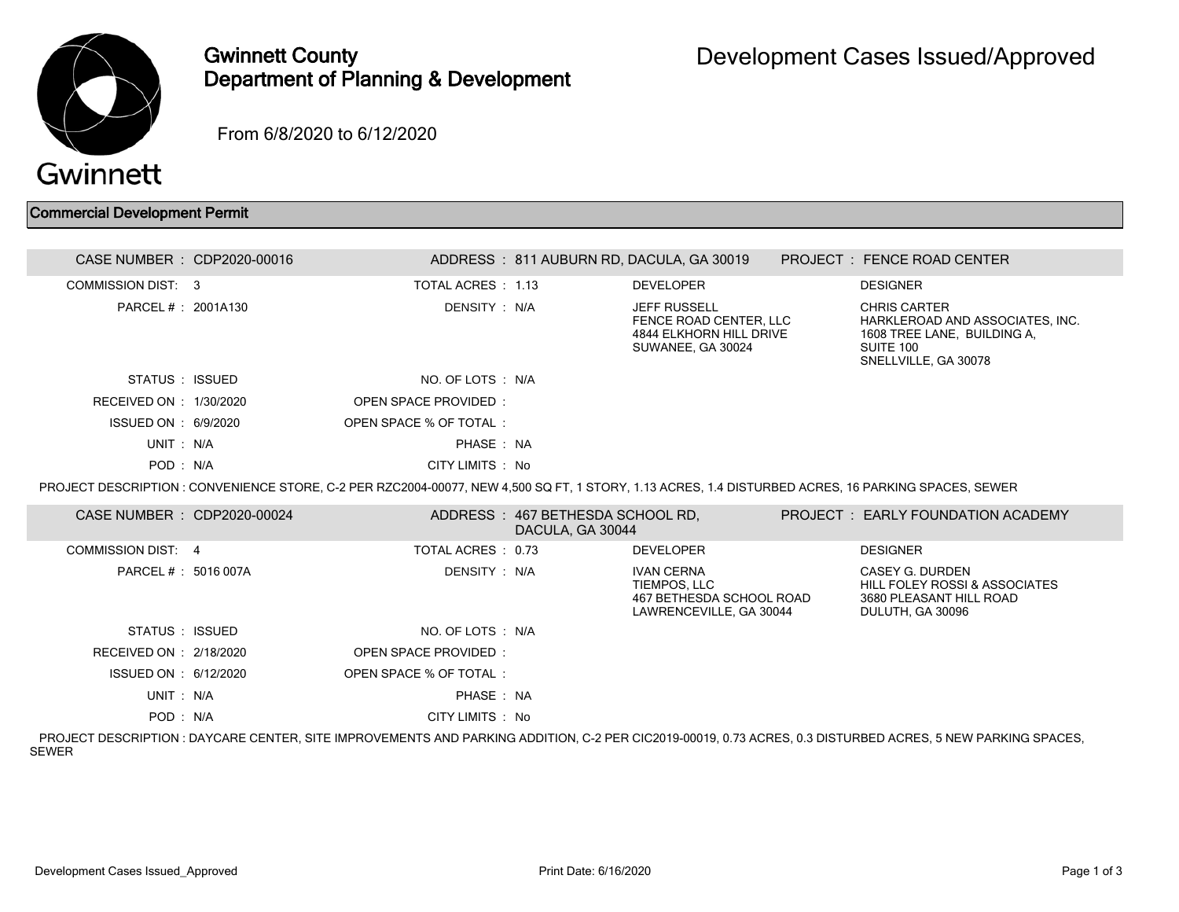

## Gwinnett County Department of Planning & Development

From 6/8/2020 to 6/12/2020

## Commercial Development Permit

| CASE NUMBER : CDP2020-00016                                                                                                                        |  |                        |                                                      | ADDRESS: 811 AUBURN RD, DACULA, GA 30019                                                             |  | <b>PROJECT : FENCE ROAD CENTER</b>                                                                                                                          |  |
|----------------------------------------------------------------------------------------------------------------------------------------------------|--|------------------------|------------------------------------------------------|------------------------------------------------------------------------------------------------------|--|-------------------------------------------------------------------------------------------------------------------------------------------------------------|--|
| COMMISSION DIST: 3                                                                                                                                 |  | TOTAL ACRES: 1.13      |                                                      | <b>DEVELOPER</b>                                                                                     |  | <b>DESIGNER</b>                                                                                                                                             |  |
| PARCEL #: 2001A130                                                                                                                                 |  | DENSITY: N/A           |                                                      | <b>JEFF RUSSELL</b><br>FENCE ROAD CENTER. LLC<br><b>4844 ELKHORN HILL DRIVE</b><br>SUWANEE, GA 30024 |  | <b>CHRIS CARTER</b><br>HARKLEROAD AND ASSOCIATES, INC.<br>1608 TREE LANE, BUILDING A,<br>SUITE 100<br>SNELLVILLE, GA 30078                                  |  |
| STATUS : ISSUED                                                                                                                                    |  | NO. OF LOTS : N/A      |                                                      |                                                                                                      |  |                                                                                                                                                             |  |
| RECEIVED ON : 1/30/2020                                                                                                                            |  | OPEN SPACE PROVIDED:   |                                                      |                                                                                                      |  |                                                                                                                                                             |  |
| ISSUED ON : 6/9/2020                                                                                                                               |  | OPEN SPACE % OF TOTAL: |                                                      |                                                                                                      |  |                                                                                                                                                             |  |
| UNIT: N/A                                                                                                                                          |  | PHASE: NA              |                                                      |                                                                                                      |  |                                                                                                                                                             |  |
| POD: N/A                                                                                                                                           |  | CITY LIMITS: No        |                                                      |                                                                                                      |  |                                                                                                                                                             |  |
| PROJECT DESCRIPTION: CONVENIENCE STORE, C-2 PER RZC2004-00077, NEW 4,500 SQ FT, 1 STORY, 1.13 ACRES, 1.4 DISTURBED ACRES, 16 PARKING SPACES, SEWER |  |                        |                                                      |                                                                                                      |  |                                                                                                                                                             |  |
| CASE NUMBER : CDP2020-00024                                                                                                                        |  |                        | ADDRESS: 467 BETHESDA SCHOOL RD.<br>DACULA, GA 30044 |                                                                                                      |  | <b>PROJECT : EARLY FOUNDATION ACADEMY</b>                                                                                                                   |  |
| <b>COMMISSION DIST: 4</b>                                                                                                                          |  | TOTAL ACRES: 0.73      |                                                      | <b>DEVELOPER</b>                                                                                     |  | <b>DESIGNER</b>                                                                                                                                             |  |
| PARCEL # : 5016 007A                                                                                                                               |  | DENSITY: N/A           |                                                      | <b>IVAN CERNA</b><br>TIEMPOS, LLC<br>467 BETHESDA SCHOOL ROAD<br>LAWRENCEVILLE, GA 30044             |  | CASEY G. DURDEN<br><b>HILL FOLEY ROSSI &amp; ASSOCIATES</b><br>3680 PLEASANT HILL ROAD<br>DULUTH, GA 30096                                                  |  |
| STATUS : ISSUED                                                                                                                                    |  | NO. OF LOTS : N/A      |                                                      |                                                                                                      |  |                                                                                                                                                             |  |
| RECEIVED ON : 2/18/2020                                                                                                                            |  | OPEN SPACE PROVIDED:   |                                                      |                                                                                                      |  |                                                                                                                                                             |  |
| ISSUED ON : 6/12/2020                                                                                                                              |  | OPEN SPACE % OF TOTAL: |                                                      |                                                                                                      |  |                                                                                                                                                             |  |
| UNIT: N/A                                                                                                                                          |  | PHASE: NA              |                                                      |                                                                                                      |  |                                                                                                                                                             |  |
| POD: N/A                                                                                                                                           |  | CITY LIMITS : No       |                                                      |                                                                                                      |  |                                                                                                                                                             |  |
|                                                                                                                                                    |  |                        |                                                      |                                                                                                      |  | PRO IEGT REGORIATION – BAVOARE OENTER OITE IMPROVEMENTO AND DARIGNO ADDITION – O A RED OIO0040 00040, 0.79 AODEO, O A DIOTURRED AODEO, E NEW DARIGNO ODAOEO |  |

 PROJECT DESCRIPTION : DAYCARE CENTER, SITE IMPROVEMENTS AND PARKING ADDITION, C-2 PER CIC2019-00019, 0.73 ACRES, 0.3 DISTURBED ACRES, 5 NEW PARKING SPACES, SEWER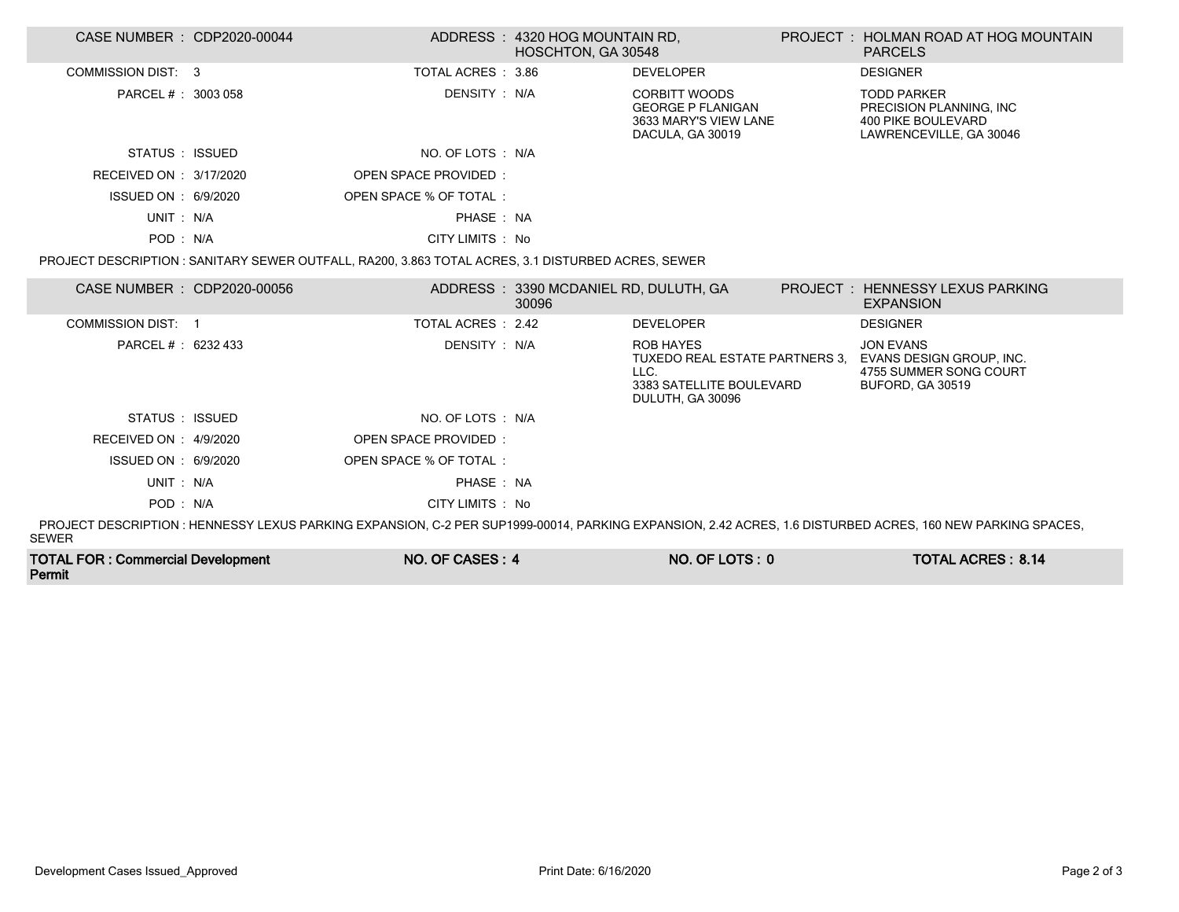| CASE NUMBER : CDP2020-00044                                                                                                                                                |  |                                                                                                    | ADDRESS: 4320 HOG MOUNTAIN RD,<br><b>HOSCHTON, GA 30548</b> |                                                                                                            |  | PROJECT : HOLMAN ROAD AT HOG MOUNTAIN<br><b>PARCELS</b>                                               |
|----------------------------------------------------------------------------------------------------------------------------------------------------------------------------|--|----------------------------------------------------------------------------------------------------|-------------------------------------------------------------|------------------------------------------------------------------------------------------------------------|--|-------------------------------------------------------------------------------------------------------|
| COMMISSION DIST: 3                                                                                                                                                         |  | TOTAL ACRES: 3.86                                                                                  |                                                             | <b>DEVELOPER</b>                                                                                           |  | <b>DESIGNER</b>                                                                                       |
| PARCEL # : 3003 058                                                                                                                                                        |  | DENSITY : N/A                                                                                      |                                                             | <b>CORBITT WOODS</b><br><b>GEORGE P FLANIGAN</b><br>3633 MARY'S VIEW LANE<br>DACULA, GA 30019              |  | <b>TODD PARKER</b><br>PRECISION PLANNING. INC<br><b>400 PIKE BOULEVARD</b><br>LAWRENCEVILLE, GA 30046 |
| STATUS : ISSUED                                                                                                                                                            |  | NO. OF LOTS : N/A                                                                                  |                                                             |                                                                                                            |  |                                                                                                       |
| RECEIVED ON : 3/17/2020                                                                                                                                                    |  | <b>OPEN SPACE PROVIDED:</b>                                                                        |                                                             |                                                                                                            |  |                                                                                                       |
| ISSUED ON : 6/9/2020                                                                                                                                                       |  | OPEN SPACE % OF TOTAL:                                                                             |                                                             |                                                                                                            |  |                                                                                                       |
| UNIT: N/A                                                                                                                                                                  |  | PHASE: NA                                                                                          |                                                             |                                                                                                            |  |                                                                                                       |
| POD: N/A                                                                                                                                                                   |  | CITY LIMITS : No                                                                                   |                                                             |                                                                                                            |  |                                                                                                       |
|                                                                                                                                                                            |  | PROJECT DESCRIPTION : SANITARY SEWER OUTFALL, RA200, 3.863 TOTAL ACRES, 3.1 DISTURBED ACRES, SEWER |                                                             |                                                                                                            |  |                                                                                                       |
| CASE NUMBER : CDP2020-00056                                                                                                                                                |  |                                                                                                    | ADDRESS: 3390 MCDANIEL RD, DULUTH, GA<br>30096              |                                                                                                            |  | PROJECT: HENNESSY LEXUS PARKING<br><b>EXPANSION</b>                                                   |
| <b>COMMISSION DIST: 1</b>                                                                                                                                                  |  | TOTAL ACRES : 2.42                                                                                 |                                                             | <b>DEVELOPER</b>                                                                                           |  | <b>DESIGNER</b>                                                                                       |
| PARCEL # : 6232 433                                                                                                                                                        |  | DENSITY: N/A                                                                                       |                                                             | <b>ROB HAYES</b><br>TUXEDO REAL ESTATE PARTNERS 3.<br>LLC.<br>3383 SATELLITE BOULEVARD<br>DULUTH, GA 30096 |  | <b>JON EVANS</b><br>EVANS DESIGN GROUP, INC.<br>4755 SUMMER SONG COURT<br><b>BUFORD, GA 30519</b>     |
| STATUS : ISSUED                                                                                                                                                            |  | NO. OF LOTS : N/A                                                                                  |                                                             |                                                                                                            |  |                                                                                                       |
| RECEIVED ON : 4/9/2020                                                                                                                                                     |  | OPEN SPACE PROVIDED:                                                                               |                                                             |                                                                                                            |  |                                                                                                       |
| ISSUED ON : 6/9/2020                                                                                                                                                       |  | OPEN SPACE % OF TOTAL:                                                                             |                                                             |                                                                                                            |  |                                                                                                       |
| UNIT: N/A                                                                                                                                                                  |  | PHASE: NA                                                                                          |                                                             |                                                                                                            |  |                                                                                                       |
| POD: N/A                                                                                                                                                                   |  | CITY LIMITS : No                                                                                   |                                                             |                                                                                                            |  |                                                                                                       |
| PROJECT DESCRIPTION : HENNESSY LEXUS PARKING EXPANSION, C-2 PER SUP1999-00014, PARKING EXPANSION, 2.42 ACRES, 1.6 DISTURBED ACRES, 160 NEW PARKING SPACES,<br><b>SEWER</b> |  |                                                                                                    |                                                             |                                                                                                            |  |                                                                                                       |
| <b>TOTAL FOR: Commercial Development</b>                                                                                                                                   |  | NO. OF CASES: 4                                                                                    |                                                             | NO. OF LOTS: 0                                                                                             |  | <b>TOTAL ACRES: 8.14</b>                                                                              |

Permit

Γ